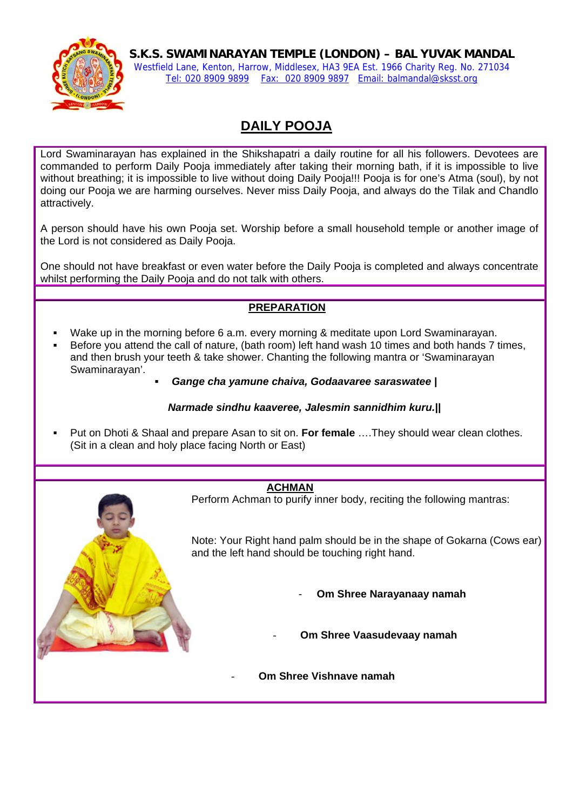

**S.K.S. SWAMINARAYAN TEMPLE (LONDON) – BAL YUVAK MANDAL**  Westfield Lane, Kenton, Harrow, Middlesex, HA3 9EA Est. 1966 Charity Reg. No. 271034 Tel: 020 8909 9899 Fax: 020 8909 9897 Email: balmandal@sksst.org

# **DAILY POOJA**

Lord Swaminarayan has explained in the Shikshapatri a daily routine for all his followers. Devotees are commanded to perform Daily Pooja immediately after taking their morning bath, if it is impossible to live without breathing; it is impossible to live without doing Daily Pooja!!! Pooja is for one's Atma (soul), by not doing our Pooja we are harming ourselves. Never miss Daily Pooja, and always do the Tilak and Chandlo attractively.

A person should have his own Pooja set. Worship before a small household temple or another image of the Lord is not considered as Daily Pooja.

One should not have breakfast or even water before the Daily Pooja is completed and always concentrate whilst performing the Daily Pooja and do not talk with others.

# **PREPARATION**

- Wake up in the morning before 6 a.m. every morning & meditate upon Lord Swaminarayan.
- Before you attend the call of nature, (bath room) left hand wash 10 times and both hands 7 times, and then brush your teeth & take shower. Chanting the following mantra or 'Swaminarayan Swaminarayan'.
	- *Gange cha yamune chaiva, Godaavaree saraswatee |*

#### *Narmade sindhu kaaveree, Jalesmin sannidhim kuru.||*

 Put on Dhoti & Shaal and prepare Asan to sit on. **For female** ….They should wear clean clothes. (Sit in a clean and holy place facing North or East)

#### **ACHMAN**

Perform Achman to purify inner body, reciting the following mantras:

Note: Your Right hand palm should be in the shape of Gokarna (Cows ear) and the left hand should be touching right hand.

- **Om Shree Narayanaay namah**
- **Om Shree Vaasudevaay namah**
- **Om Shree Vishnave namah**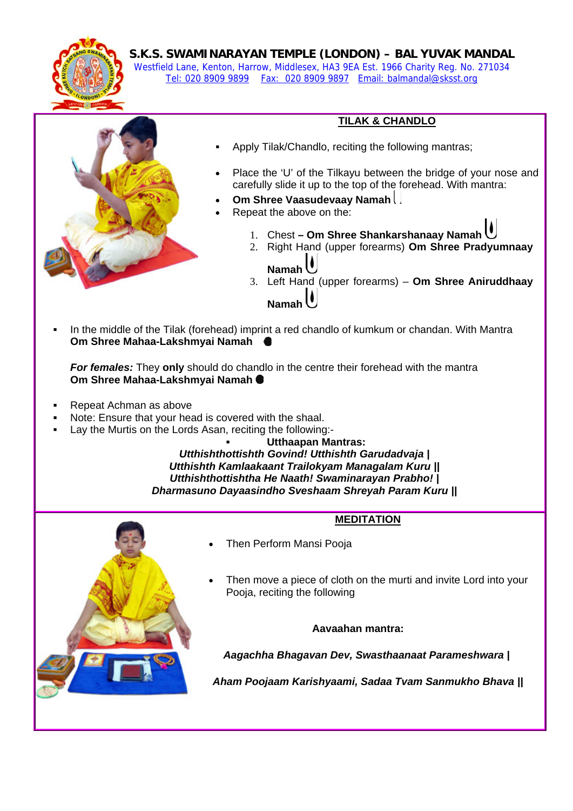

**S.K.S. SWAMINARAYAN TEMPLE (LONDON) – BAL YUVAK MANDAL** 

Westfield Lane, Kenton, Harrow, Middlesex, HA3 9EA Est. 1966 Charity Reg. No. 271034 Tel: 020 8909 9899 Fax: 020 8909 9897 Email: balmandal@sksst.org



### **TILAK & CHANDLO**

- Apply Tilak/Chandlo, reciting the following mantras;
- Place the 'U' of the Tilkayu between the bridge of your nose and carefully slide it up to the top of the forehead. With mantra:
- **Om Shree Vaasudevaay Namah**
- Repeat the above on the:
	- 1. Chest  **Om Shree Shankarshanaay Namah**
	- 2. Right Hand (upper forearms) **Om Shree Pradyumnaay** 
		- **Namah**
	- 3. Left Hand (upper forearms) **Om Shree Aniruddhaay Namah**
- In the middle of the Tilak (forehead) imprint a red chandlo of kumkum or chandan. With Mantra **Om Shree Mahaa-Lakshmyai Namah**

*For females:* They **only** should do chandlo in the centre their forehead with the mantra **Om Shree Mahaa-Lakshmyai Namah**

- Repeat Achman as above
- Note: Ensure that your head is covered with the shaal.
- Lay the Murtis on the Lords Asan, reciting the following:-

 **Utthaapan Mantras:** *Utthishthottishth Govind! Utthishth Garudadvaja | Utthishth Kamlaakaant Trailokyam Managalam Kuru || Utthishthottishtha He Naath! Swaminarayan Prabho! | Dharmasuno Dayaasindho Sveshaam Shreyah Param Kuru ||*



### **MEDITATION**

- Then Perform Mansi Pooja
- Then move a piece of cloth on the murti and invite Lord into your Pooja, reciting the following

#### **Aavaahan mantra:**

 *Aagachha Bhagavan Dev, Swasthaanaat Parameshwara |*

*Aham Poojaam Karishyaami, Sadaa Tvam Sanmukho Bhava ||*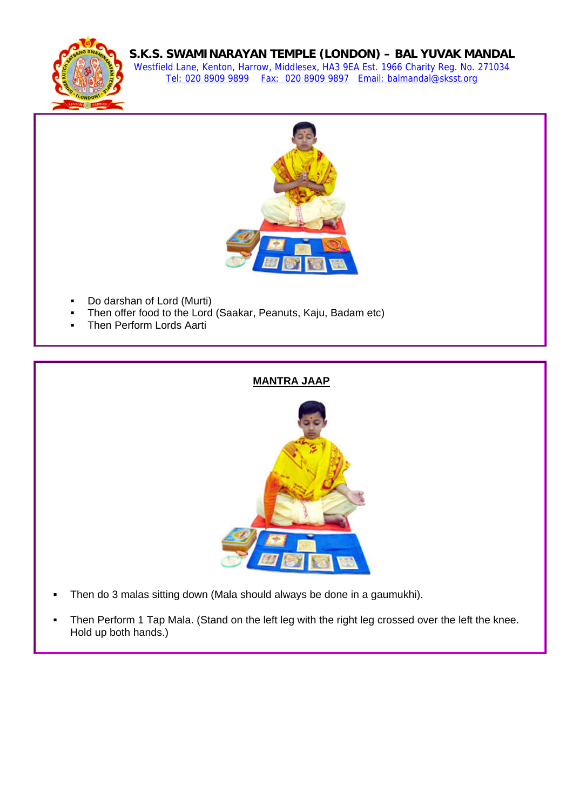

## **S.K.S. SWAMINARAYAN TEMPLE (LONDON) – BAL YUVAK MANDAL**

Westfield Lane, Kenton, Harrow, Middlesex, HA3 9EA Est. 1966 Charity Reg. No. 271034 Tel: 020 8909 9899 Fax: 020 8909 9897 Email: balmandal@sksst.org



- Do darshan of Lord (Murti)
- Then offer food to the Lord (Saakar, Peanuts, Kaju, Badam etc)
- Then Perform Lords Aarti

#### **MANTRA JAAP**



- Then do 3 malas sitting down (Mala should always be done in a gaumukhi).
- Then Perform 1 Tap Mala. (Stand on the left leg with the right leg crossed over the left the knee. Hold up both hands.)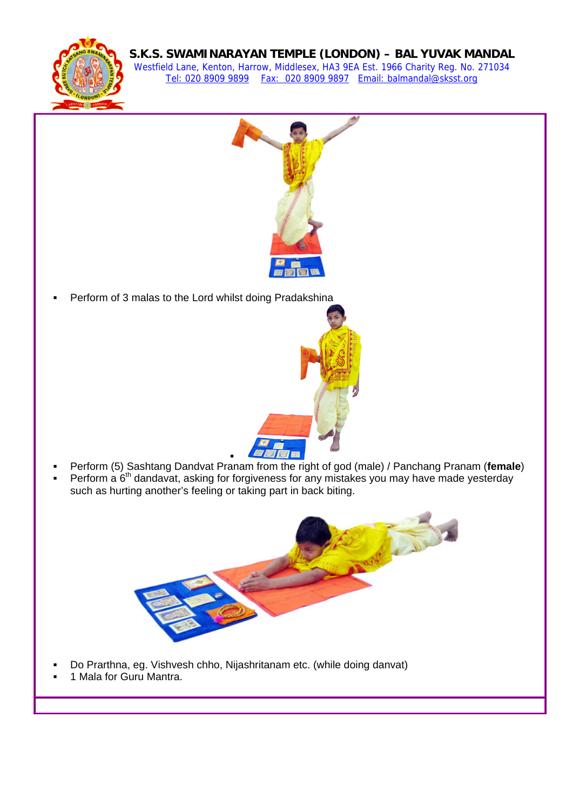

# **S.K.S. SWAMINARAYAN TEMPLE (LONDON) – BAL YUVAK MANDAL**

Westfield Lane, Kenton, Harrow, Middlesex, HA3 9EA Est. 1966 Charity Reg. No. 271034 Tel: 020 8909 9899 Fax: 020 8909 9897 Email: balmandal@sksst.org



Perform of 3 malas to the Lord whilst doing Pradakshina



- : Perform (5) Sashtang Dandvat Pranam from the right of god (male) / Panchang Pranam (**female**)
- Perform a  $6<sup>th</sup>$  dandavat, asking for forgiveness for any mistakes you may have made yesterday such as hurting another's feeling or taking part in back biting.



- Do Prarthna, eg. Vishvesh chho, Nijashritanam etc. (while doing danvat)
- 1 Mala for Guru Mantra.